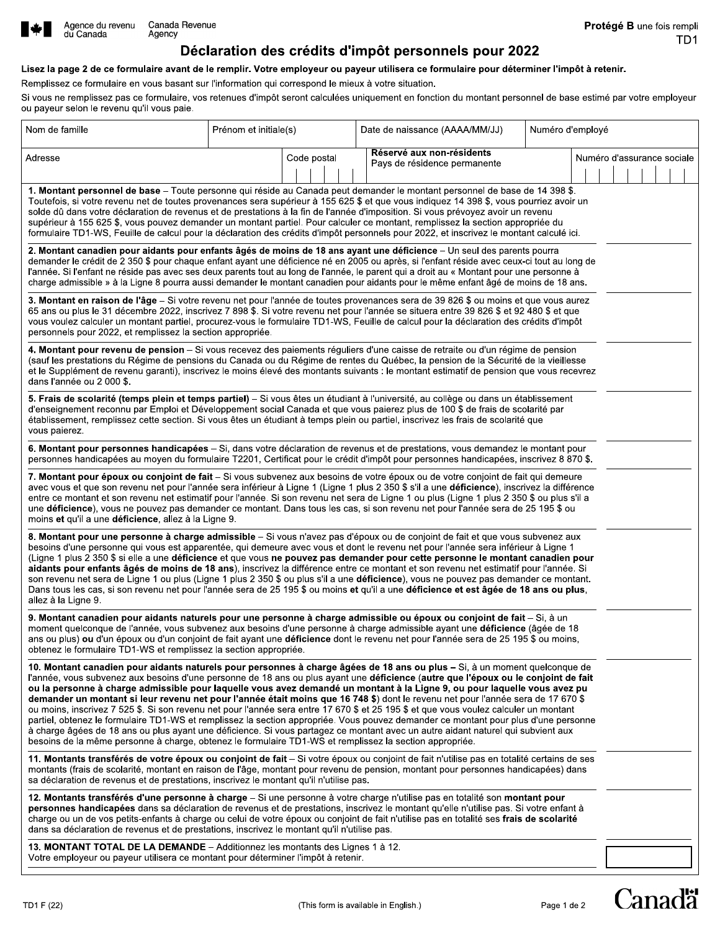

### Lisez la page 2 de ce formulaire avant de le remplir. Votre employeur ou payeur utilisera ce formulaire pour déterminer l'impôt à retenir.

Remplissez ce formulaire en vous basant sur l'information qui correspond le mieux à votre situation.

Si vous ne remplissez pas ce formulaire, vos retenues d'impôt seront calculées uniquement en fonction du montant personnel de base estimé par votre employeur ou payeur selon le revenu qu'il vous paie.

| Nom de famille                                                                                                                                                                                                                                                                                                                                                                                                                                                                                                                                                                                                                                                                                                                                                                                                                                                                                                                                                                                                                                                   | Prénom et initiale(s) |             | Date de naissance (AAAA/MM/JJ)                            |  | Numéro d'employé           |  |
|------------------------------------------------------------------------------------------------------------------------------------------------------------------------------------------------------------------------------------------------------------------------------------------------------------------------------------------------------------------------------------------------------------------------------------------------------------------------------------------------------------------------------------------------------------------------------------------------------------------------------------------------------------------------------------------------------------------------------------------------------------------------------------------------------------------------------------------------------------------------------------------------------------------------------------------------------------------------------------------------------------------------------------------------------------------|-----------------------|-------------|-----------------------------------------------------------|--|----------------------------|--|
| Adresse                                                                                                                                                                                                                                                                                                                                                                                                                                                                                                                                                                                                                                                                                                                                                                                                                                                                                                                                                                                                                                                          |                       | Code postal | Réservé aux non-résidents<br>Pays de résidence permanente |  | Numéro d'assurance sociale |  |
| 1. Montant personnel de base - Toute personne qui réside au Canada peut demander le montant personnel de base de 14 398 \$.<br>Toutefois, si votre revenu net de toutes provenances sera supérieur à 155 625 \$ et que vous indiquez 14 398 \$, vous pourriez avoir un<br>solde dû dans votre déclaration de revenus et de prestations à la fin de l'année d'imposition. Si vous prévoyez avoir un revenu<br>supérieur à 155 625 \$, vous pouvez demander un montant partiel. Pour calculer ce montant, remplissez la section appropriée du<br>formulaire TD1-WS, Feuille de calcul pour la déclaration des crédits d'impôt personnels pour 2022, et inscrivez le montant calculé ici.                                                                                                                                                                                                                                                                                                                                                                           |                       |             |                                                           |  |                            |  |
| 2. Montant canadien pour aidants pour enfants âgés de moins de 18 ans ayant une déficience – Un seul des parents pourra<br>demander le crédit de 2 350 \$ pour chaque enfant ayant une déficience né en 2005 ou après, si l'enfant réside avec ceux-ci tout au long de<br>l'année. Si l'enfant ne réside pas avec ses deux parents tout au long de l'année, le parent qui a droit au « Montant pour une personne à<br>charge admissible » à la Ligne 8 pourra aussi demander le montant canadien pour aidants pour le même enfant âgé de moins de 18 ans.                                                                                                                                                                                                                                                                                                                                                                                                                                                                                                        |                       |             |                                                           |  |                            |  |
| 3. Montant en raison de l'âge – Si votre revenu net pour l'année de toutes provenances sera de 39 826 \$ ou moins et que vous aurez<br>65 ans ou plus le 31 décembre 2022, inscrivez 7 898 \$. Si votre revenu net pour l'année se situera entre 39 826 \$ et 92 480 \$ et que<br>vous voulez calculer un montant partiel, procurez-vous le formulaire TD1-WS, Feuille de calcul pour la déclaration des crédits d'impôt<br>personnels pour 2022, et remplissez la section appropriée.                                                                                                                                                                                                                                                                                                                                                                                                                                                                                                                                                                           |                       |             |                                                           |  |                            |  |
| 4. Montant pour revenu de pension – Si vous recevez des paiements réguliers d'une caisse de retraite ou d'un régime de pension<br>(sauf les prestations du Régime de pensions du Canada ou du Régime de rentes du Québec, la pension de la Sécurité de la vieillesse<br>et le Supplément de revenu garanti), inscrivez le moins élevé des montants suivants : le montant estimatif de pension que vous recevrez<br>dans l'année ou 2 000 \$.                                                                                                                                                                                                                                                                                                                                                                                                                                                                                                                                                                                                                     |                       |             |                                                           |  |                            |  |
| 5. Frais de scolarité (temps plein et temps partiel) - Si vous êtes un étudiant à l'université, au collège ou dans un établissement<br>d'enseignement reconnu par Emploi et Développement social Canada et que vous paierez plus de 100 \$ de frais de scolarité par<br>établissement, remplissez cette section. Si vous êtes un étudiant à temps plein ou partiel, inscrivez les frais de scolarité que<br>vous paierez.                                                                                                                                                                                                                                                                                                                                                                                                                                                                                                                                                                                                                                        |                       |             |                                                           |  |                            |  |
| 6. Montant pour personnes handicapées - Si, dans votre déclaration de revenus et de prestations, vous demandez le montant pour<br>personnes handicapées au moyen du formulaire T2201, Certificat pour le crédit d'impôt pour personnes handicapées, inscrivez 8 870 \$.                                                                                                                                                                                                                                                                                                                                                                                                                                                                                                                                                                                                                                                                                                                                                                                          |                       |             |                                                           |  |                            |  |
| 7. Montant pour époux ou conjoint de fait - Si vous subvenez aux besoins de votre époux ou de votre conjoint de fait qui demeure<br>avec vous et que son revenu net pour l'année sera inférieur à Ligne 1 (Ligne 1 plus 2 350 \$ s'il a une déficience), inscrivez la différence<br>entre ce montant et son revenu net estimatif pour l'année. Si son revenu net sera de Ligne 1 ou plus (Ligne 1 plus 2 350 \$ ou plus s'il a<br>une déficience), vous ne pouvez pas demander ce montant. Dans tous les cas, si son revenu net pour l'année sera de 25 195 \$ ou<br>moins et qu'il a une déficience, allez à la Ligne 9.                                                                                                                                                                                                                                                                                                                                                                                                                                        |                       |             |                                                           |  |                            |  |
| 8. Montant pour une personne à charge admissible - Si vous n'avez pas d'époux ou de conjoint de fait et que vous subvenez aux<br>besoins d'une personne qui vous est apparentée, qui demeure avec vous et dont le revenu net pour l'année sera inférieur à Ligne 1<br>(Ligne 1 plus 2 350 \$ si elle a une déficience et que vous ne pouvez pas demander pour cette personne le montant canadien pour<br>aidants pour enfants âgés de moins de 18 ans), inscrivez la différence entre ce montant et son revenu net estimatif pour l'année. Si<br>son revenu net sera de Ligne 1 ou plus (Ligne 1 plus 2 350 \$ ou plus s'il a une déficience), vous ne pouvez pas demander ce montant.<br>Dans tous les cas, si son revenu net pour l'année sera de 25 195 \$ ou moins et qu'il a une déficience et est âgée de 18 ans ou plus,<br>allez à la Ligne 9.                                                                                                                                                                                                           |                       |             |                                                           |  |                            |  |
| 9. Montant canadien pour aidants naturels pour une personne à charge admissible ou époux ou conjoint de fait - Si, à un<br>moment quelconque de l'année, vous subvenez aux besoins d'une personne à charge admissible ayant une déficience (âgée de 18<br>ans ou plus) ou d'un époux ou d'un conioint de fait avant une déficience dont le revenu net pour l'année sera de 25 195 \$ ou moins.<br>obtenez le formulaire TD1-WS et remplissez la section appropriée.                                                                                                                                                                                                                                                                                                                                                                                                                                                                                                                                                                                              |                       |             |                                                           |  |                            |  |
| 10. Montant canadien pour aidants naturels pour personnes à charge âgées de 18 ans ou plus – Si, à un moment quelconque de<br>l'année, vous subvenez aux besoins d'une personne de 18 ans ou plus ayant une déficience (autre que l'époux ou le conjoint de fait<br>ou la personne à charge admissible pour laquelle vous avez demandé un montant à la Ligne 9, ou pour laquelle vous avez pu<br>demander un montant si leur revenu net pour l'année était moins que 16 748 \$) dont le revenu net pour l'année sera de 17 670 \$<br>ou moins, inscrivez 7 525 \$. Si son revenu net pour l'année sera entre 17 670 \$ et 25 195 \$ et que vous voulez calculer un montant<br>partiel, obtenez le formulaire TD1-WS et remplissez la section appropriée. Vous pouvez demander ce montant pour plus d'une personne<br>à charge âgées de 18 ans ou plus ayant une déficience. Si vous partagez ce montant avec un autre aidant naturel qui subvient aux<br>besoins de la même personne à charge, obtenez le formulaire TD1-WS et remplissez la section appropriée. |                       |             |                                                           |  |                            |  |
| 11. Montants transférés de votre époux ou conjoint de fait – Si votre époux ou conjoint de fait n'utilise pas en totalité certains de ses<br>montants (frais de scolarité, montant en raison de l'âge, montant pour revenu de pension, montant pour personnes handicapées) dans<br>sa déclaration de revenus et de prestations, inscrivez le montant qu'il n'utilise pas.                                                                                                                                                                                                                                                                                                                                                                                                                                                                                                                                                                                                                                                                                        |                       |             |                                                           |  |                            |  |
| 12. Montants transférés d'une personne à charge – Si une personne à votre charge n'utilise pas en totalité son montant pour<br>personnes handicapées dans sa déclaration de revenus et de prestations, inscrivez le montant qu'elle n'utilise pas. Si votre enfant à<br>charge ou un de vos petits-enfants à charge ou celui de votre époux ou conjoint de fait n'utilise pas en totalité ses frais de scolarité<br>dans sa déclaration de revenus et de prestations, inscrivez le montant qu'il n'utilise pas.                                                                                                                                                                                                                                                                                                                                                                                                                                                                                                                                                  |                       |             |                                                           |  |                            |  |
| 13. MONTANT TOTAL DE LA DEMANDE - Additionnez les montants des Lignes 1 à 12.<br>Votre employeur ou payeur utilisera ce montant pour déterminer l'impôt à retenir.                                                                                                                                                                                                                                                                                                                                                                                                                                                                                                                                                                                                                                                                                                                                                                                                                                                                                               |                       |             |                                                           |  |                            |  |

Canadä